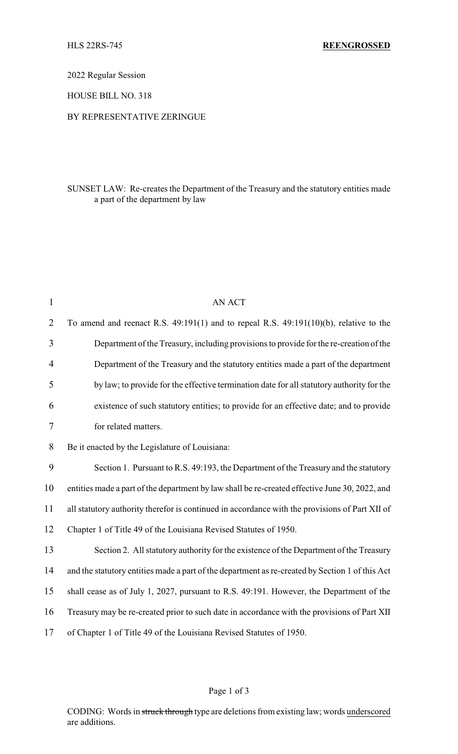2022 Regular Session

HOUSE BILL NO. 318

### BY REPRESENTATIVE ZERINGUE

# SUNSET LAW: Re-creates the Department of the Treasury and the statutory entities made a part of the department by law

| $\mathbf{1}$   | AN ACT                                                                                          |
|----------------|-------------------------------------------------------------------------------------------------|
| $\overline{2}$ | To amend and reenact R.S. $49:191(1)$ and to repeal R.S. $49:191(10)(b)$ , relative to the      |
| 3              | Department of the Treasury, including provisions to provide for the re-creation of the          |
| 4              | Department of the Treasury and the statutory entities made a part of the department             |
| 5              | by law; to provide for the effective termination date for all statutory authority for the       |
| 6              | existence of such statutory entities; to provide for an effective date; and to provide          |
| 7              | for related matters.                                                                            |
| 8              | Be it enacted by the Legislature of Louisiana:                                                  |
| 9              | Section 1. Pursuant to R.S. 49:193, the Department of the Treasury and the statutory            |
| 10             | entities made a part of the department by law shall be re-created effective June 30, 2022, and  |
| 11             | all statutory authority therefor is continued in accordance with the provisions of Part XII of  |
| 12             | Chapter 1 of Title 49 of the Louisiana Revised Statutes of 1950.                                |
| 13             | Section 2. All statutory authority for the existence of the Department of the Treasury          |
| 14             | and the statutory entities made a part of the department as re-created by Section 1 of this Act |
| 15             | shall cease as of July 1, 2027, pursuant to R.S. 49:191. However, the Department of the         |
| 16             | Treasury may be re-created prior to such date in accordance with the provisions of Part XII     |
| 17             | of Chapter 1 of Title 49 of the Louisiana Revised Statutes of 1950.                             |

## Page 1 of 3

CODING: Words in struck through type are deletions from existing law; words underscored are additions.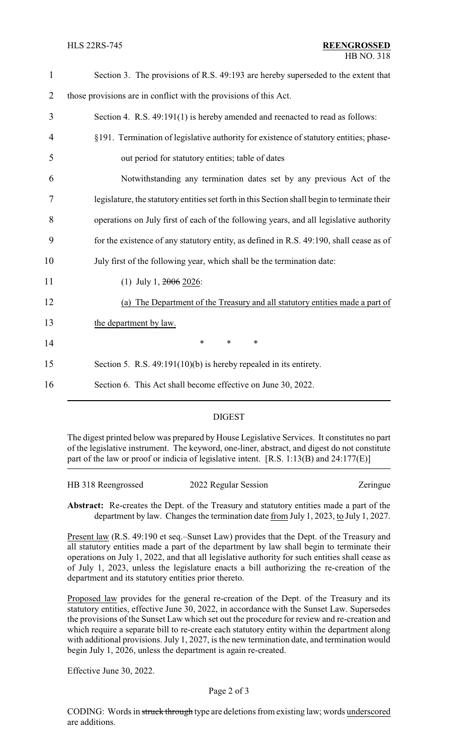| $\mathbf{1}$   | Section 3. The provisions of R.S. 49:193 are hereby superseded to the extent that            |  |  |
|----------------|----------------------------------------------------------------------------------------------|--|--|
| $\overline{2}$ | those provisions are in conflict with the provisions of this Act.                            |  |  |
| 3              | Section 4. R.S. 49:191(1) is hereby amended and reenacted to read as follows:                |  |  |
| $\overline{4}$ | §191. Termination of legislative authority for existence of statutory entities; phase-       |  |  |
| 5              | out period for statutory entities; table of dates                                            |  |  |
| 6              | Notwithstanding any termination dates set by any previous Act of the                         |  |  |
| 7              | legislature, the statutory entities set forth in this Section shall begin to terminate their |  |  |
| 8              | operations on July first of each of the following years, and all legislative authority       |  |  |
| 9              | for the existence of any statutory entity, as defined in R.S. 49:190, shall cease as of      |  |  |
| 10             | July first of the following year, which shall be the termination date:                       |  |  |
| 11             | (1) July 1, $2006$ 2026:                                                                     |  |  |
| 12             | (a) The Department of the Treasury and all statutory entities made a part of                 |  |  |
| 13             | the department by law.                                                                       |  |  |
| 14             | $\ast$<br>$\ast$<br>$\ast$                                                                   |  |  |
| 15             | Section 5. R.S. $49:191(10)(b)$ is hereby repealed in its entirety.                          |  |  |
| 16             | Section 6. This Act shall become effective on June 30, 2022.                                 |  |  |
|                |                                                                                              |  |  |

# DIGEST

The digest printed below was prepared by House Legislative Services. It constitutes no part of the legislative instrument. The keyword, one-liner, abstract, and digest do not constitute part of the law or proof or indicia of legislative intent. [R.S. 1:13(B) and 24:177(E)]

| HB 318 Reengrossed | 2022 Regular Session | Zeringue |
|--------------------|----------------------|----------|
|                    |                      |          |

**Abstract:** Re-creates the Dept. of the Treasury and statutory entities made a part of the department by law. Changes the termination date from July 1, 2023, to July 1, 2027.

Present law (R.S. 49:190 et seq.–Sunset Law) provides that the Dept. of the Treasury and all statutory entities made a part of the department by law shall begin to terminate their operations on July 1, 2022, and that all legislative authority for such entities shall cease as of July 1, 2023, unless the legislature enacts a bill authorizing the re-creation of the department and its statutory entities prior thereto.

Proposed law provides for the general re-creation of the Dept. of the Treasury and its statutory entities, effective June 30, 2022, in accordance with the Sunset Law. Supersedes the provisions of the Sunset Law which set out the procedure for review and re-creation and which require a separate bill to re-create each statutory entity within the department along with additional provisions. July 1, 2027, is the new termination date, and termination would begin July 1, 2026, unless the department is again re-created.

Effective June 30, 2022.

### Page 2 of 3

CODING: Words in struck through type are deletions from existing law; words underscored are additions.